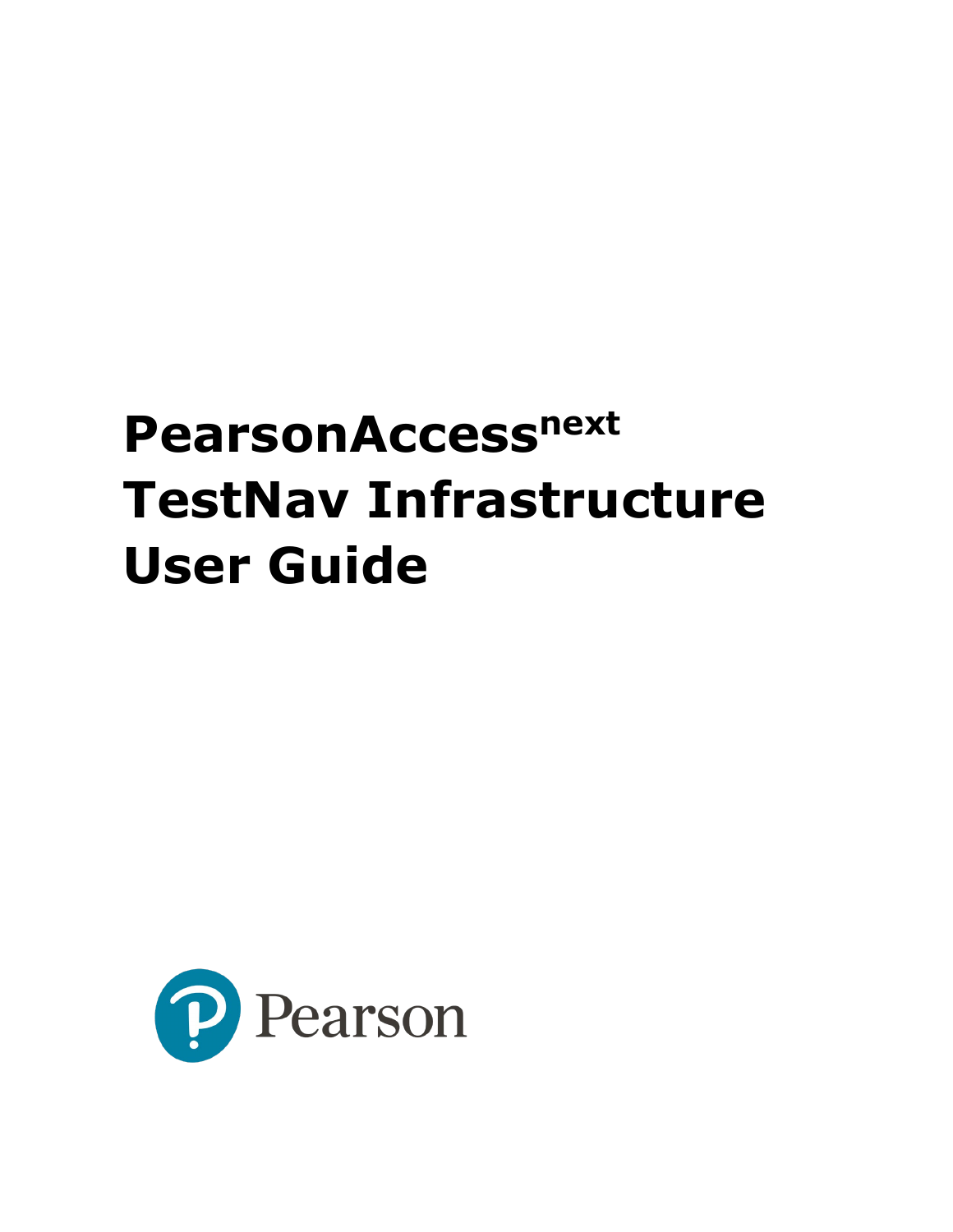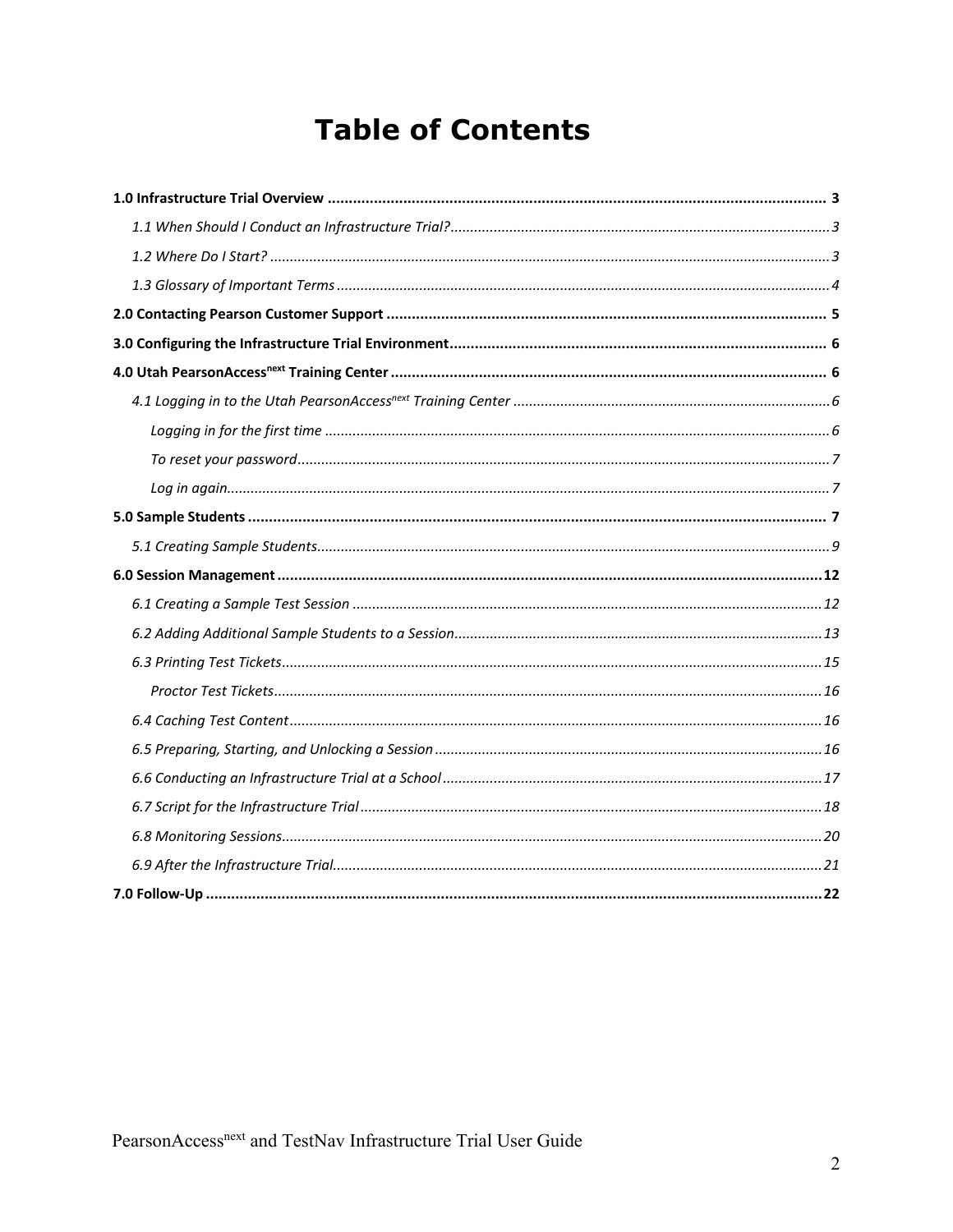# **Table of Contents**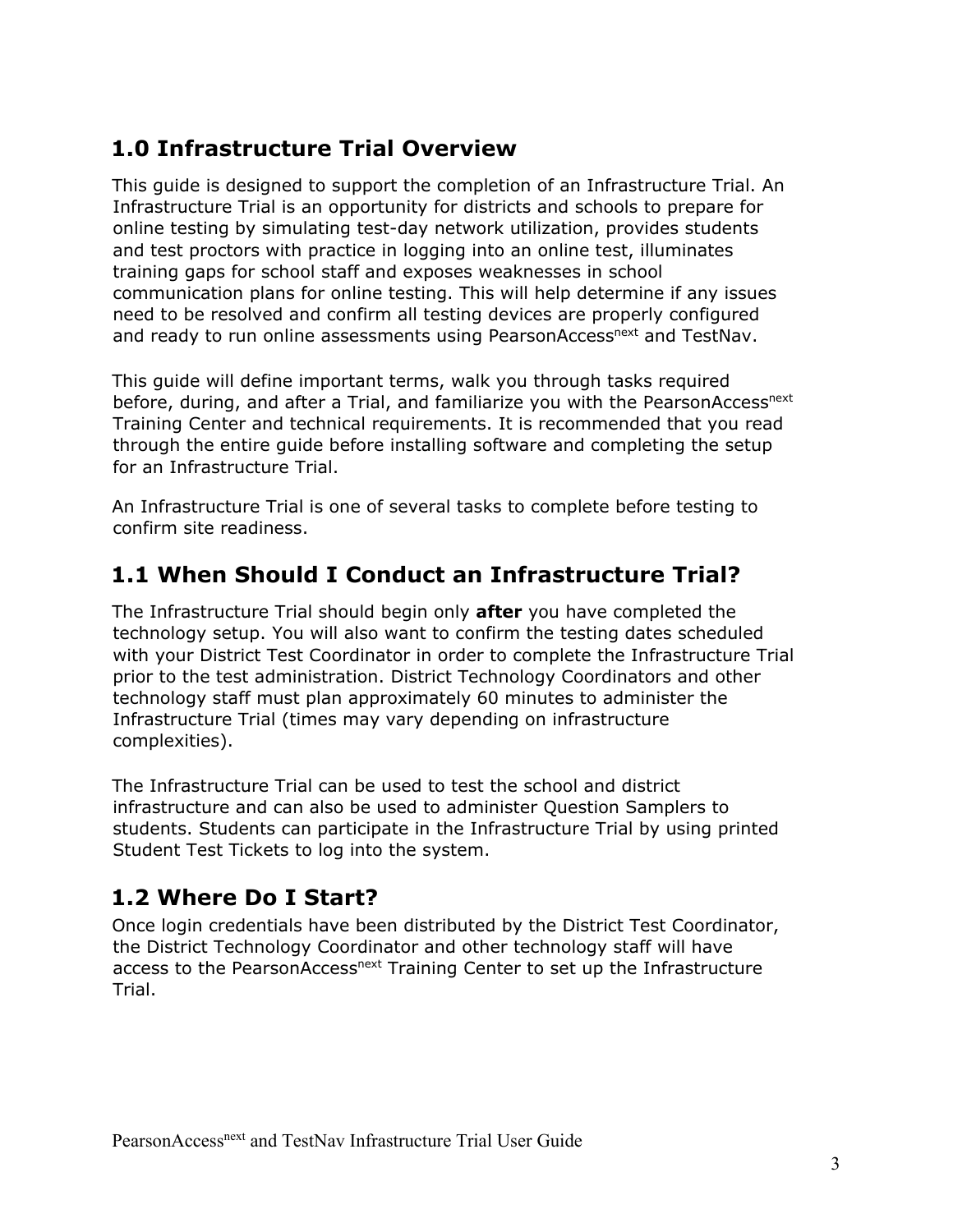# <span id="page-2-0"></span>**1.0 Infrastructure Trial Overview**

This guide is designed to support the completion of an Infrastructure Trial. An Infrastructure Trial is an opportunity for districts and schools to prepare for online testing by simulating test-day network utilization, provides students and test proctors with practice in logging into an online test, illuminates training gaps for school staff and exposes weaknesses in school communication plans for online testing. This will help determine if any issues need to be resolved and confirm all testing devices are properly configured and ready to run online assessments using PearsonAccess<sup>next</sup> and TestNav.

This guide will define important terms, walk you through tasks required before, during, and after a Trial, and familiarize you with the PearsonAccess<sup>next</sup> Training Center and technical requirements. It is recommended that you read through the entire guide before installing software and completing the setup for an Infrastructure Trial.

An Infrastructure Trial is one of several tasks to complete before testing to confirm site readiness.

# <span id="page-2-1"></span>**1.1 When Should I Conduct an Infrastructure Trial?**

The Infrastructure Trial should begin only **after** you have completed the technology setup. You will also want to confirm the testing dates scheduled with your District Test Coordinator in order to complete the Infrastructure Trial prior to the test administration. District Technology Coordinators and other technology staff must plan approximately 60 minutes to administer the Infrastructure Trial (times may vary depending on infrastructure complexities).

The Infrastructure Trial can be used to test the school and district infrastructure and can also be used to administer Question Samplers to students. Students can participate in the Infrastructure Trial by using printed Student Test Tickets to log into the system.

# <span id="page-2-2"></span>**1.2 Where Do I Start?**

Once login credentials have been distributed by the District Test Coordinator, the District Technology Coordinator and other technology staff will have access to the PearsonAccess<sup>next</sup> Training Center to set up the Infrastructure Trial.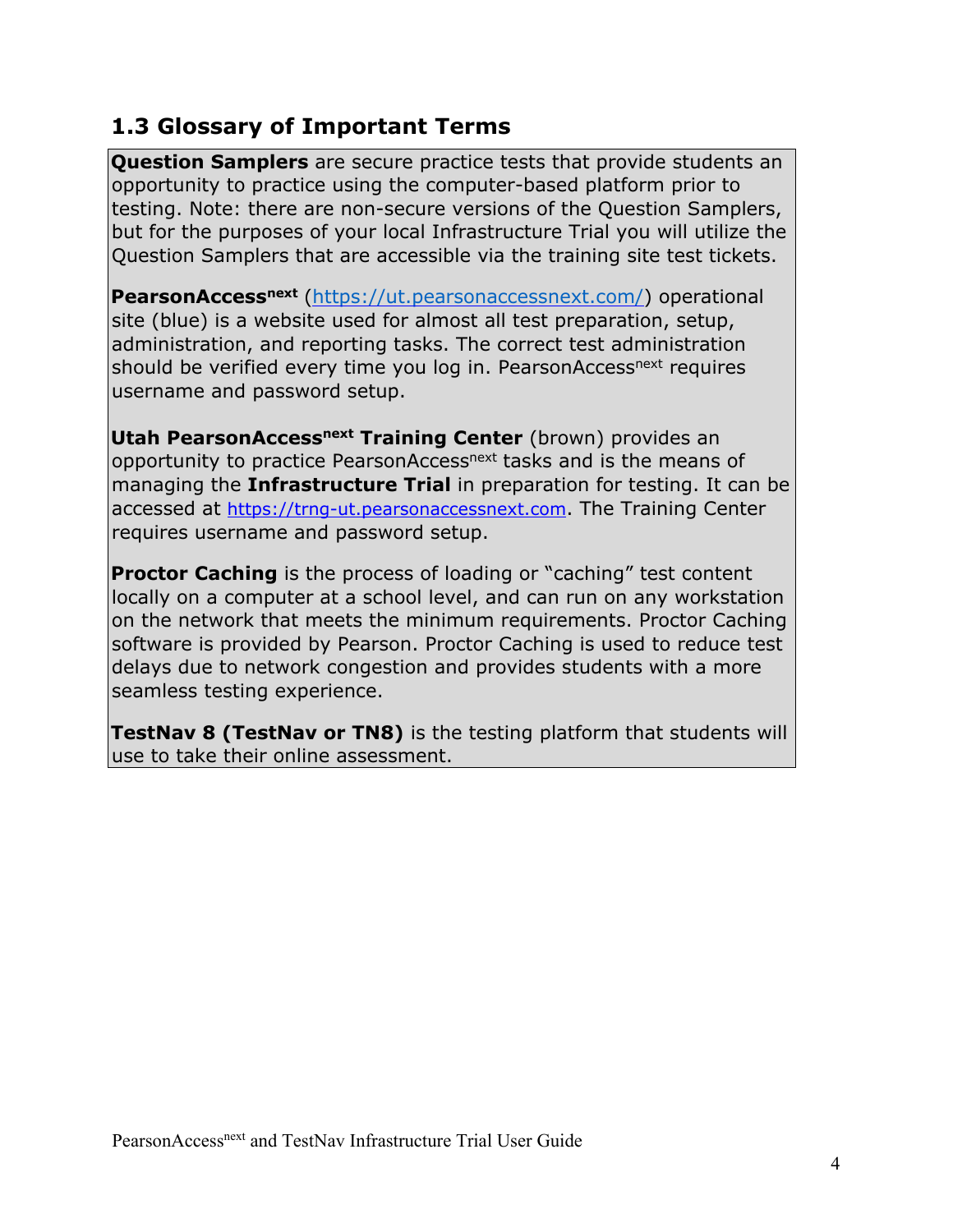## <span id="page-3-0"></span>**1.3 Glossary of Important Terms**

**Question Samplers** are secure practice tests that provide students an opportunity to practice using the computer-based platform prior to testing. Note: there are non-secure versions of the Question Samplers, but for the purposes of your local Infrastructure Trial you will utilize the Question Samplers that are accessible via the training site test tickets.

**PearsonAccess<sup>next</sup>** [\(](https://ms.pearsonaccessnext.com/)<https://ut.pearsonaccessnext.com/>[\)](https://ms.pearsonaccessnext.com/) operational site (blue) is a website used for almost all test preparation, setup, administration, and reporting tasks. The correct test administration should be verified every time you log in. PearsonAccess<sup>next</sup> requires username and password setup.

**Utah PearsonAccessnext Training Center** (brown) provides an opportunity to practice PearsonAccess<sup>next</sup> tasks and is the means of managing the **Infrastructure Trial** in preparation for testing. It can be accessed at [https://trng](https://trng-tx.pearsonaccessnext.com/)[-](https://trng-ms.pearsonaccessnext.com/)[ut.pearsonaccessnext.com](https://trng-ut.pearsonaccessnext.com/)[.](https://trng-ms.pearsonaccessnext.com/) The Training Center requires username and password setup.

**Proctor Caching** is the process of loading or "caching" test content locally on a computer at a school level, and can run on any workstation on the network that meets the minimum requirements. Proctor Caching software is provided by Pearson. Proctor Caching is used to reduce test delays due to network congestion and provides students with a more seamless testing experience.

**TestNav 8 (TestNav or TN8)** is the testing platform that students will use to take their online assessment.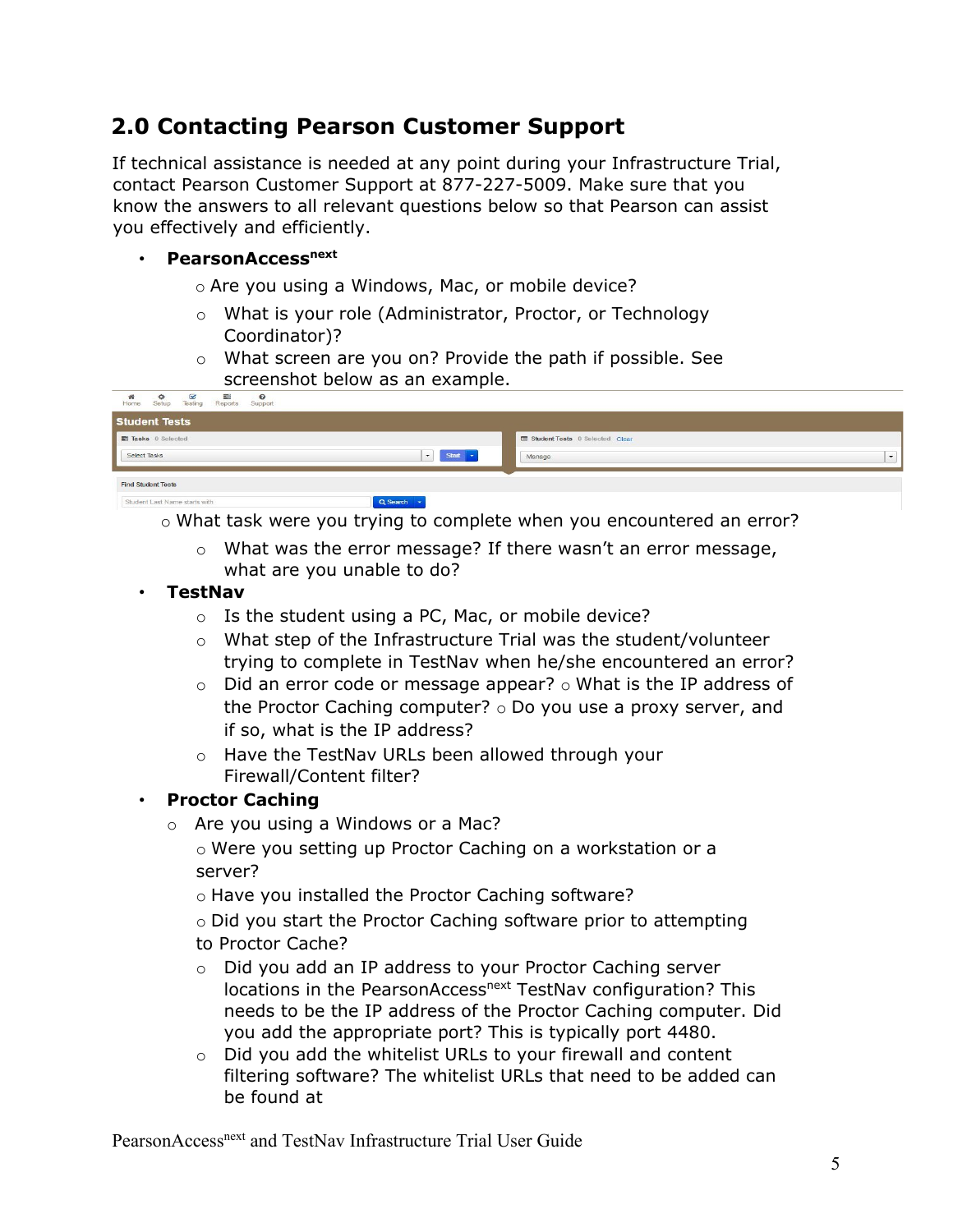# <span id="page-4-0"></span>**2.0 Contacting Pearson Customer Support**

If technical assistance is needed at any point during your Infrastructure Trial, contact Pearson Customer Support at 877-227-5009. Make sure that you know the answers to all relevant questions below so that Pearson can assist you effectively and efficiently.

#### **• PearsonAccess**next

o Are you using a Windows, Mac, or mobile device?

- o What is your role (Administrator, Proctor, or Technology Coordinator)?
- o What screen are you on? Provide the path if possible. See screenshot below as an example.

| $\mathbf{z}$<br>翻<br>骨<br>$\bullet$<br>森<br>Setup<br>Testing<br>Reports<br>Support<br>Home |                         |                                |                          |
|--------------------------------------------------------------------------------------------|-------------------------|--------------------------------|--------------------------|
| <b>Student Tests</b>                                                                       |                         |                                |                          |
| Tasks 0 Selected                                                                           |                         | Student Tests 0 Selected Clear |                          |
| Select Tasks                                                                               | $\overline{ }$<br>Start | Manage                         | $\overline{\phantom{0}}$ |
| <b>Find Student Tests</b>                                                                  |                         |                                |                          |
| Student Last Name starts with                                                              | <b>Q</b> Search         |                                |                          |

o What task were you trying to complete when you encountered an error?

- o What was the error message? If there wasn't an error message, what are you unable to do?
- **TestNav** 
	- o Is the student using a PC, Mac, or mobile device?
	- $\circ$  What step of the Infrastructure Trial was the student/volunteer trying to complete in TestNav when he/she encountered an error?
	- $\circ$  Did an error code or message appear?  $\circ$  What is the IP address of the Proctor Caching computer? o Do you use a proxy server, and if so, what is the IP address?
	- o Have the TestNav URLs been allowed through your Firewall/Content filter?

#### • **Proctor Caching**

o Are you using a Windows or a Mac?

o Were you setting up Proctor Caching on a workstation or a server?

o Have you installed the Proctor Caching software?

o Did you start the Proctor Caching software prior to attempting to Proctor Cache?

- o Did you add an IP address to your Proctor Caching server locations in the PearsonAccess<sup>next</sup> TestNav configuration? This needs to be the IP address of the Proctor Caching computer. Did you add the appropriate port? This is typically port 4480.
- o Did you add the whitelist URLs to your firewall and content filtering software? The whitelist URLs that need to be added can be found at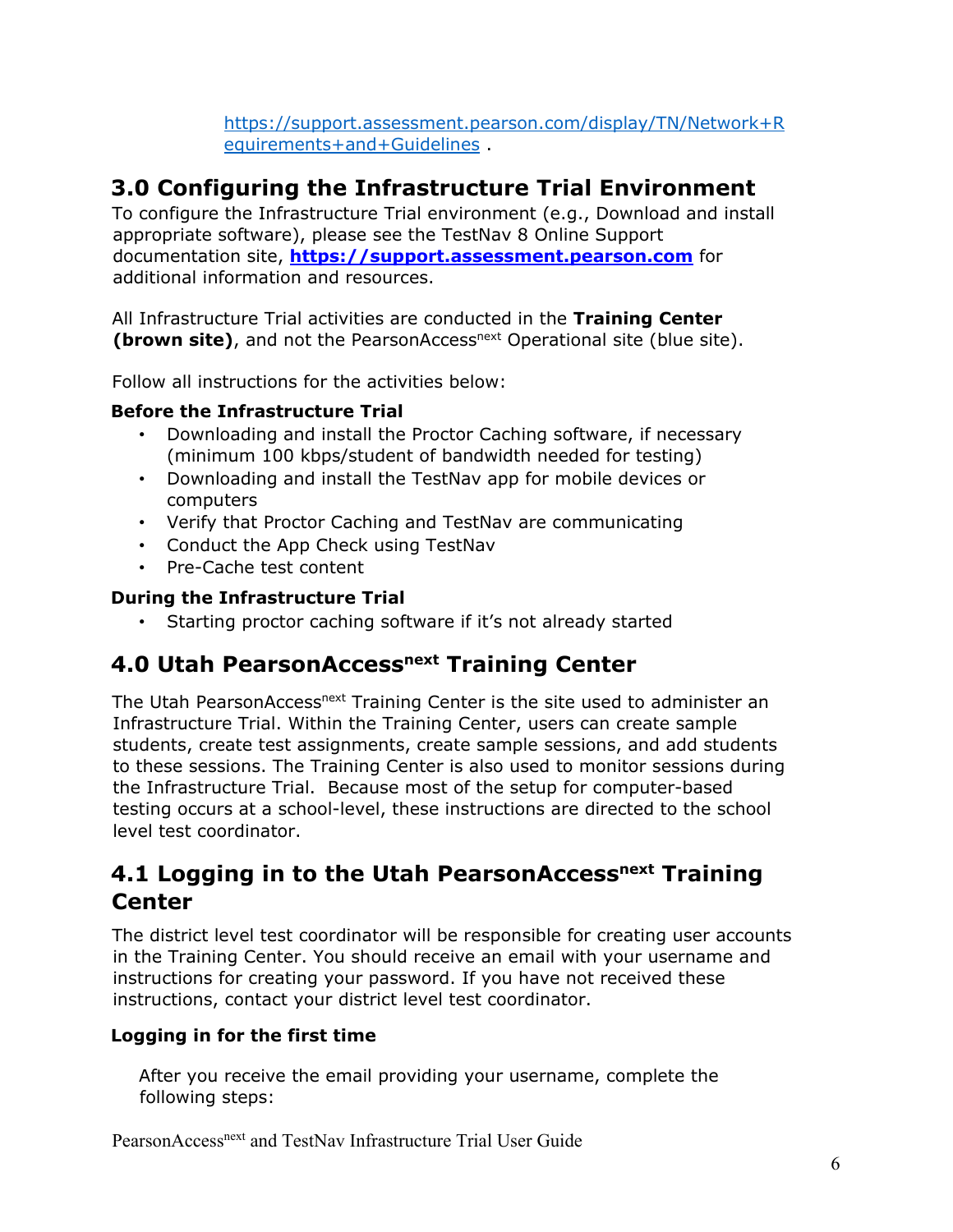[https://support.assessment.pearson.com/display/TN/Network+R](https://support.assessment.pearson.com/display/TN/Network+Requirements+and+Guidelines) [equirements+and+Guidelines](https://support.assessment.pearson.com/display/TN/Network+Requirements+and+Guidelines) [.](https://support.assessment.pearson.com/display/TN/TestNav) 

## <span id="page-5-0"></span>**3.0 Configuring the Infrastructure Trial Environment**

To configure the Infrastructure Trial environment (e.g., Download and install appropriate software), please see the TestNav 8 Online Support documentation site, **[https://support.assessment.pearson.com](https://support.assessment.pearson.com/)** [f](https://support.assessment.pearson.com/)or additional information and resources.

All Infrastructure Trial activities are conducted in the **Training Center** (**brown site**), and not the PearsonAccess<sup>next</sup> Operational site (blue site).

Follow all instructions for the activities below:

#### **Before the Infrastructure Trial**

- Downloading and install the Proctor Caching software, if necessary (minimum 100 kbps/student of bandwidth needed for testing)
- Downloading and install the TestNav app for mobile devices or computers
- Verify that Proctor Caching and TestNav are communicating
- Conduct the App Check using TestNav
- Pre-Cache test content

#### **During the Infrastructure Trial**

• Starting proctor caching software if it's not already started

### <span id="page-5-1"></span>**4.0 Utah PearsonAccessnext Training Center**

The Utah PearsonAccess<sup>next</sup> Training Center is the site used to administer an Infrastructure Trial. Within the Training Center, users can create sample students, create test assignments, create sample sessions, and add students to these sessions. The Training Center is also used to monitor sessions during the Infrastructure Trial. Because most of the setup for computer-based testing occurs at a school-level, these instructions are directed to the school level test coordinator.

## <span id="page-5-2"></span>**4.1 Logging in to the Utah PearsonAccessnext Training Center**

The district level test coordinator will be responsible for creating user accounts in the Training Center. You should receive an email with your username and instructions for creating your password. If you have not received these instructions, contact your district level test coordinator.

#### <span id="page-5-3"></span>**Logging in for the first time**

After you receive the email providing your username, complete the following steps: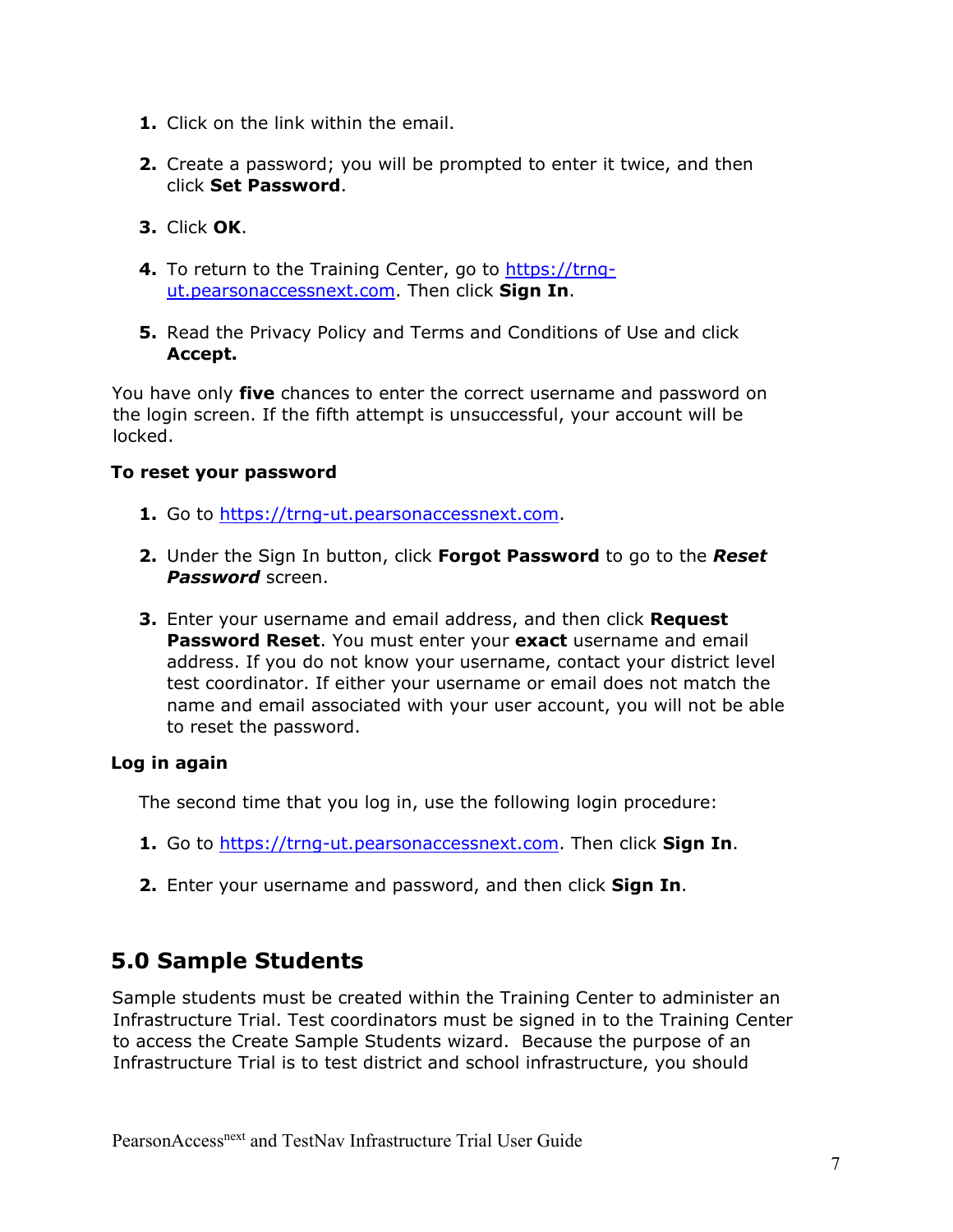- **1.** Click on the link within the email.
- **2.** Create a password; you will be prompted to enter it twice, and then click **Set Password**.
- **3.** Click **OK**.
- **4.** To return to the Training Center, go to [https://trng](https://trng-ut.pearsonaccessnext.com/)[ut.pearsonaccessnext.com](https://trng-tx.pearsonaccessnext.com/)[.](https://trng-ms.pearsonaccessnext.com/) Then click **Sign In**.
- **5.** Read the Privacy Policy and Terms and Conditions of Use and click **Accept.**

You have only **five** chances to enter the correct username and password on the login screen. If the fifth attempt is unsuccessful, your account will be locked.

#### <span id="page-6-0"></span>**To reset your password**

- **1.** Go to [https://trng](https://trng-tx.pearsonaccessnext.com/)[-](https://trng-ms.pearsonaccessnext.com/)[ut.pearsonaccessnext.com](https://trng-ut.pearsonaccessnext.com/)[.](https://trng-ms.pearsonaccessnext.com/)
- **2.** Under the Sign In button, click **Forgot Password** to go to the *Reset Password* screen.
- **3.** Enter your username and email address, and then click **Request Password Reset**. You must enter your **exact** username and email address. If you do not know your username, contact your district level test coordinator. If either your username or email does not match the name and email associated with your user account, you will not be able to reset the password.

#### <span id="page-6-1"></span>**Log in again**

The second time that you log in, use the following login procedure:

- **1.** Go to [https://trng](https://trng-tx.pearsonaccessnext.com/)[-](https://trng-ms.pearsonaccessnext.com/)[ut.pearsonaccessnext.com](https://trng-tx.pearsonaccessnext.com/)[.](https://trng-ms.pearsonaccessnext.com/) Then click **Sign In**.
- **2.** Enter your username and password, and then click **Sign In**.

## <span id="page-6-2"></span>**5.0 Sample Students**

Sample students must be created within the Training Center to administer an Infrastructure Trial. Test coordinators must be signed in to the Training Center to access the Create Sample Students wizard. Because the purpose of an Infrastructure Trial is to test district and school infrastructure, you should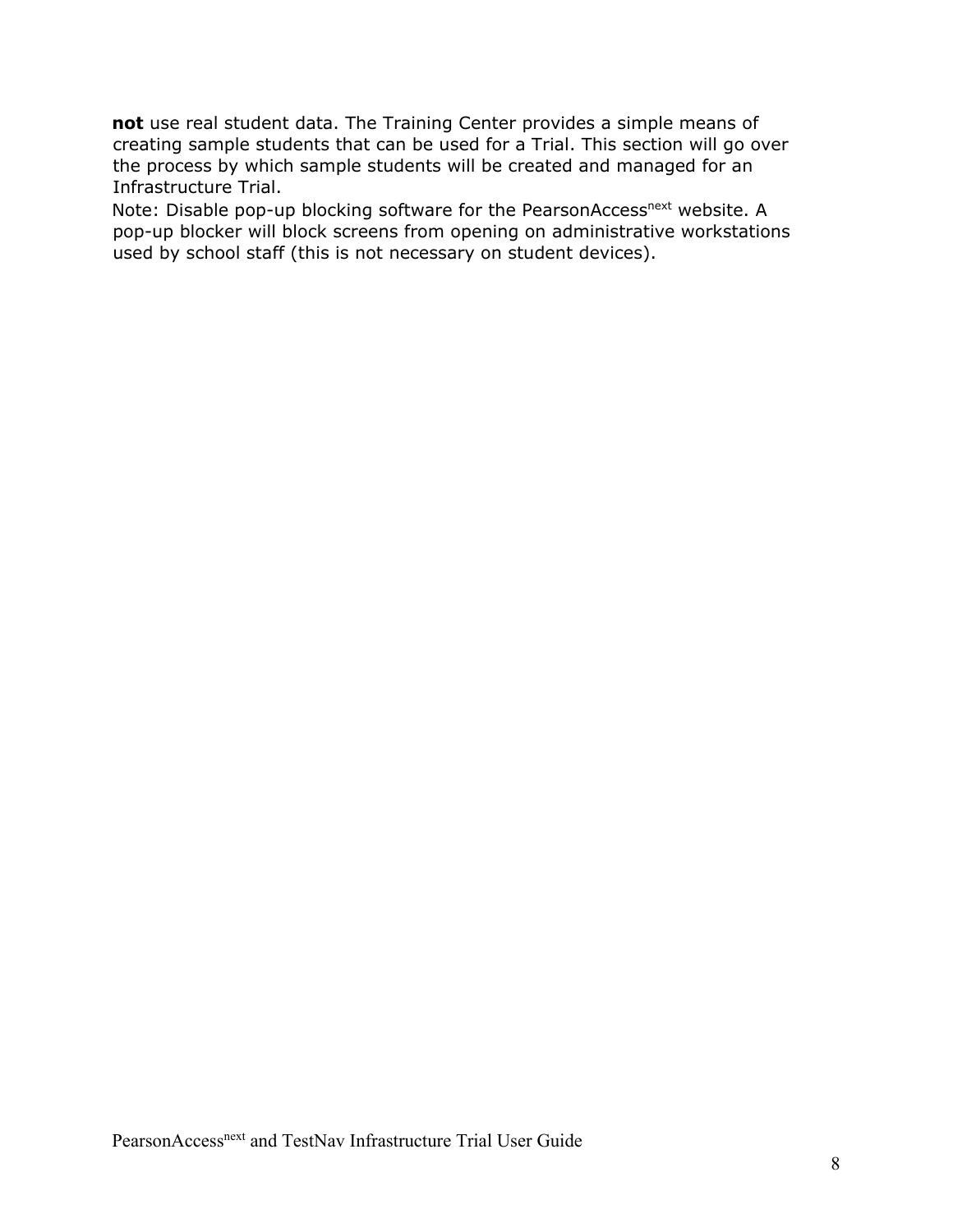**not** use real student data. The Training Center provides a simple means of creating sample students that can be used for a Trial. This section will go over the process by which sample students will be created and managed for an Infrastructure Trial.

Note: Disable pop-up blocking software for the PearsonAccess<sup>next</sup> website. A pop-up blocker will block screens from opening on administrative workstations used by school staff (this is not necessary on student devices).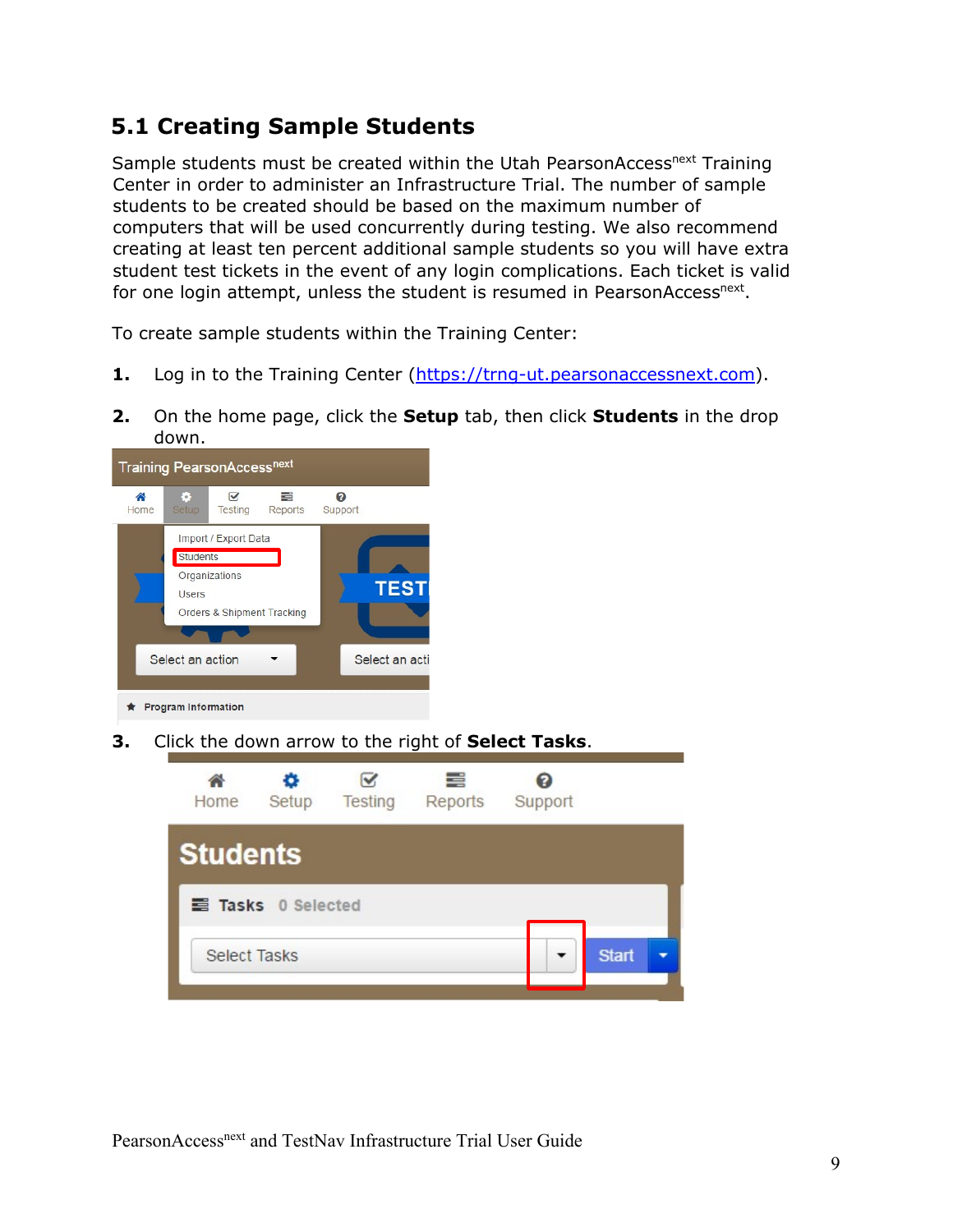## <span id="page-8-0"></span>**5.1 Creating Sample Students**

Sample students must be created within the Utah PearsonAccess<sup>next</sup> Training Center in order to administer an Infrastructure Trial. The number of sample students to be created should be based on the maximum number of computers that will be used concurrently during testing. We also recommend creating at least ten percent additional sample students so you will have extra student test tickets in the event of any login complications. Each ticket is valid for one login attempt, unless the student is resumed in PearsonAccess<sup>next</sup>.

To create sample students within the Training Center:

- **1.** Log in to the Training Center [\(https://trng-](https://trng-ms.pearsonaccessnext.com/)[ut.pearsonaccessnext.com](https://trng-tx.pearsonaccessnext.com/)[\).](https://trng-ms.pearsonaccessnext.com/)
- **2.** On the home page, click the **Setup** tab, then click **Students** in the drop down.



**3.** Click the down arrow to the right of **Select Tasks**.

| Home                | o<br>Setup       | Testing | 특<br>Reports | Support |              |
|---------------------|------------------|---------|--------------|---------|--------------|
| <b>Students</b>     |                  |         |              |         |              |
|                     | Tasks 0 Selected |         |              |         |              |
| <b>Select Tasks</b> |                  |         |              |         | <b>Start</b> |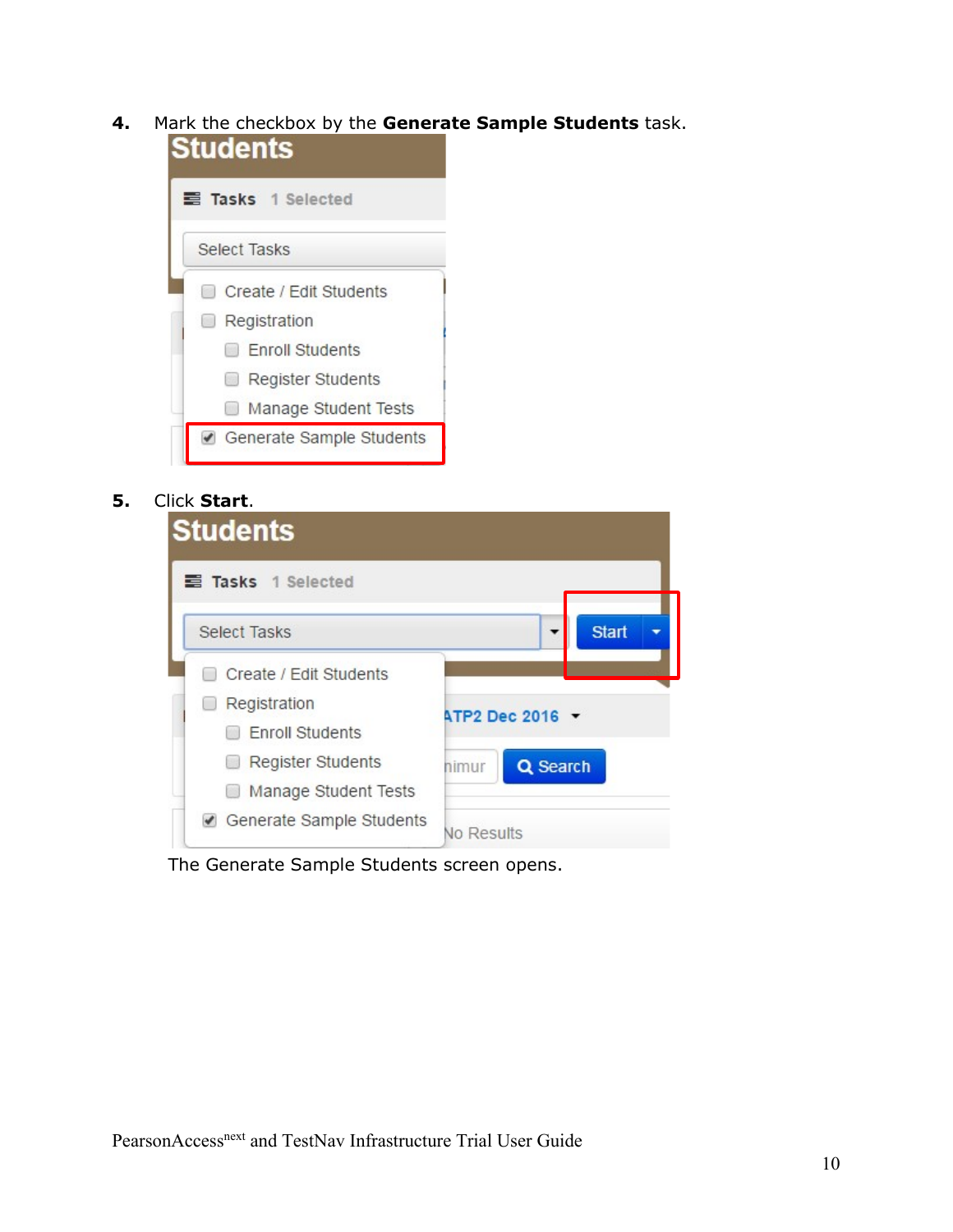**4.** Mark the checkbox by the **Generate Sample Students** task.



**5.** Click **Start**.

| <b>Students</b>                                  |                   |
|--------------------------------------------------|-------------------|
| <b>三 Tasks</b> 1 Selected                        |                   |
| <b>Select Tasks</b>                              | <b>Start</b>      |
| Create / Edit Students                           |                   |
| Registration<br><b>Enroll Students</b>           | ATP2 Dec 2016 -   |
| <b>Register Students</b><br>Manage Student Tests | Q Search<br>himur |
| Generate Sample Students                         | No Results        |

The Generate Sample Students screen opens.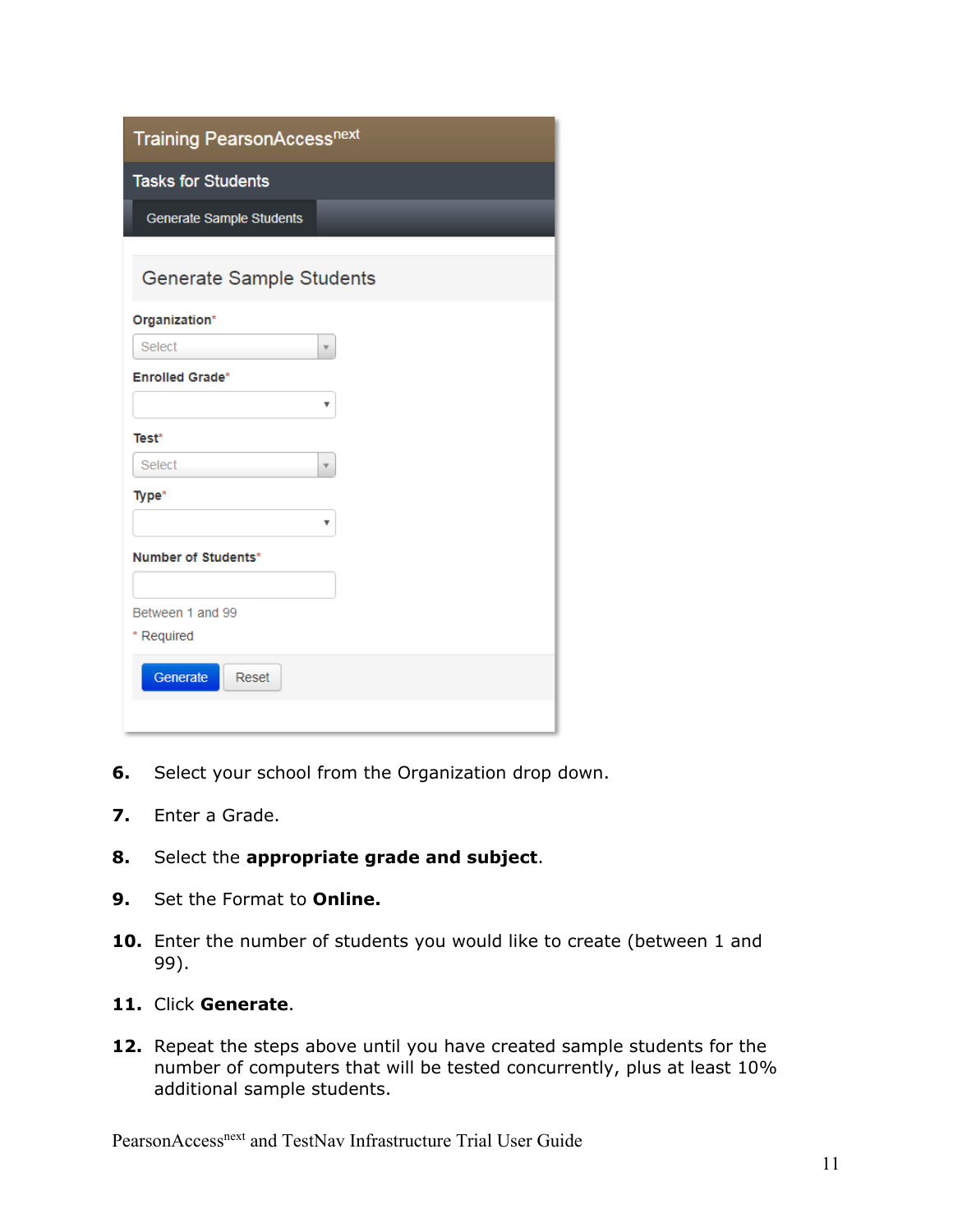| <b>Training PearsonAccessnext</b> |  |  |
|-----------------------------------|--|--|
| <b>Tasks for Students</b>         |  |  |
| Generate Sample Students          |  |  |
| <b>Generate Sample Students</b>   |  |  |
| Organization*                     |  |  |
| Select<br>v                       |  |  |
| <b>Enrolled Grade*</b>            |  |  |
| ۷                                 |  |  |
| Test*                             |  |  |
| Select<br>۳                       |  |  |
| Type*                             |  |  |
| v                                 |  |  |
| Number of Students*               |  |  |
|                                   |  |  |
| Between 1 and 99                  |  |  |
| * Required                        |  |  |
| Generate<br>Reset                 |  |  |
|                                   |  |  |

- **6.** Select your school from the Organization drop down.
- **7.** Enter a Grade.
- **8.** Select the **appropriate grade and subject**.
- **9.** Set the Format to **Online.**
- **10.** Enter the number of students you would like to create (between 1 and 99).
- **11.** Click **Generate**.
- **12.** Repeat the steps above until you have created sample students for the number of computers that will be tested concurrently, plus at least 10% additional sample students.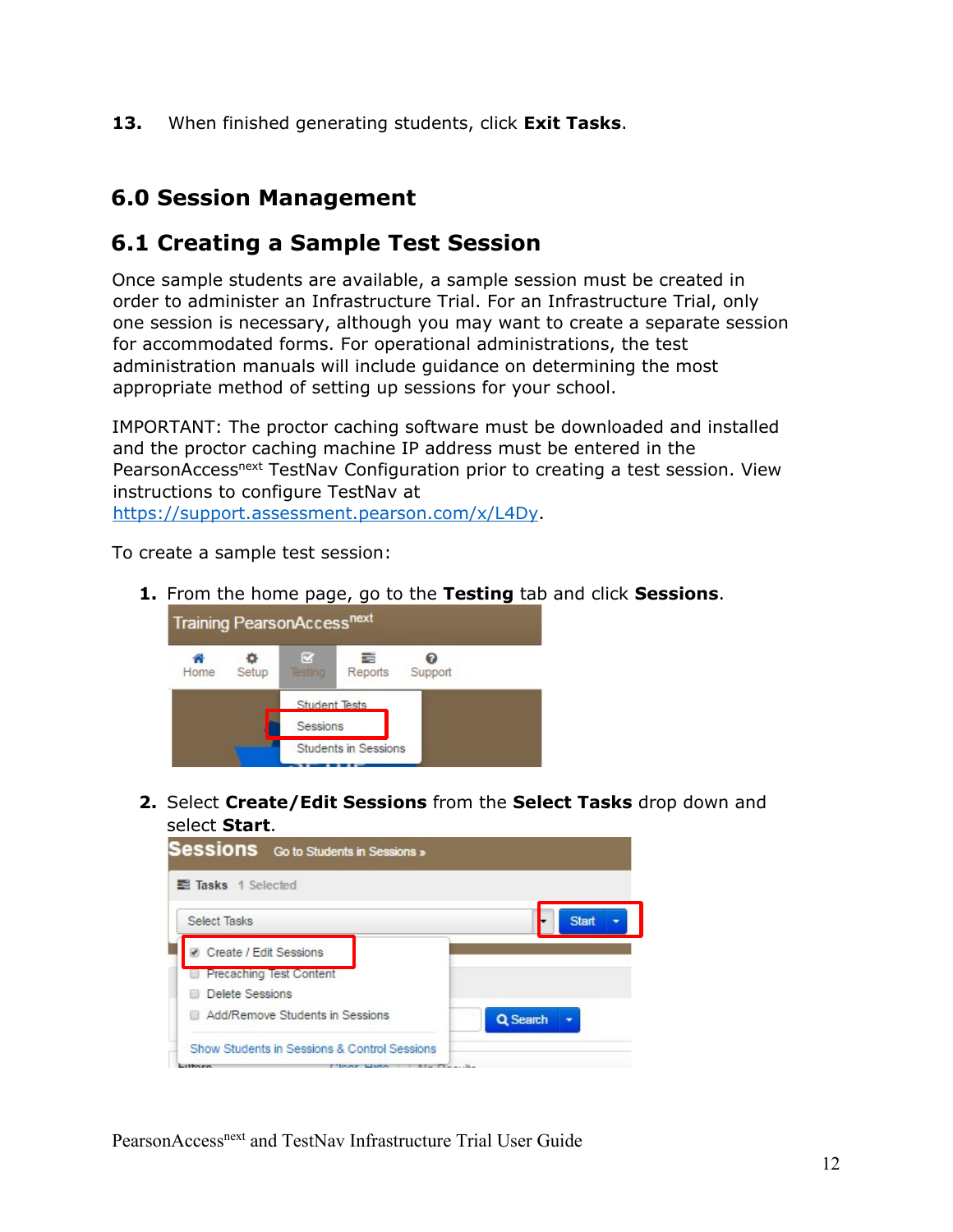**13.** When finished generating students, click **Exit Tasks**.

## <span id="page-11-0"></span>**6.0 Session Management**

### <span id="page-11-1"></span>**6.1 Creating a Sample Test Session**

Once sample students are available, a sample session must be created in order to administer an Infrastructure Trial. For an Infrastructure Trial, only one session is necessary, although you may want to create a separate session for accommodated forms. For operational administrations, the test administration manuals will include guidance on determining the most appropriate method of setting up sessions for your school.

IMPORTANT: The proctor caching software must be downloaded and installed and the proctor caching machine IP address must be entered in the PearsonAccess<sup>next</sup> TestNav Configuration prior to creating a test session. View instructions to configure TestNav at [https://support.assessment.pearson.com/x/L4Dy.](https://support.assessment.pearson.com/x/L4Dy)

To create a sample test session:

**1.** From the home page, go to the **Testing** tab and click **Sessions**.



**2.** Select **Create/Edit Sessions** from the **Select Tasks** drop down and select **Start**.

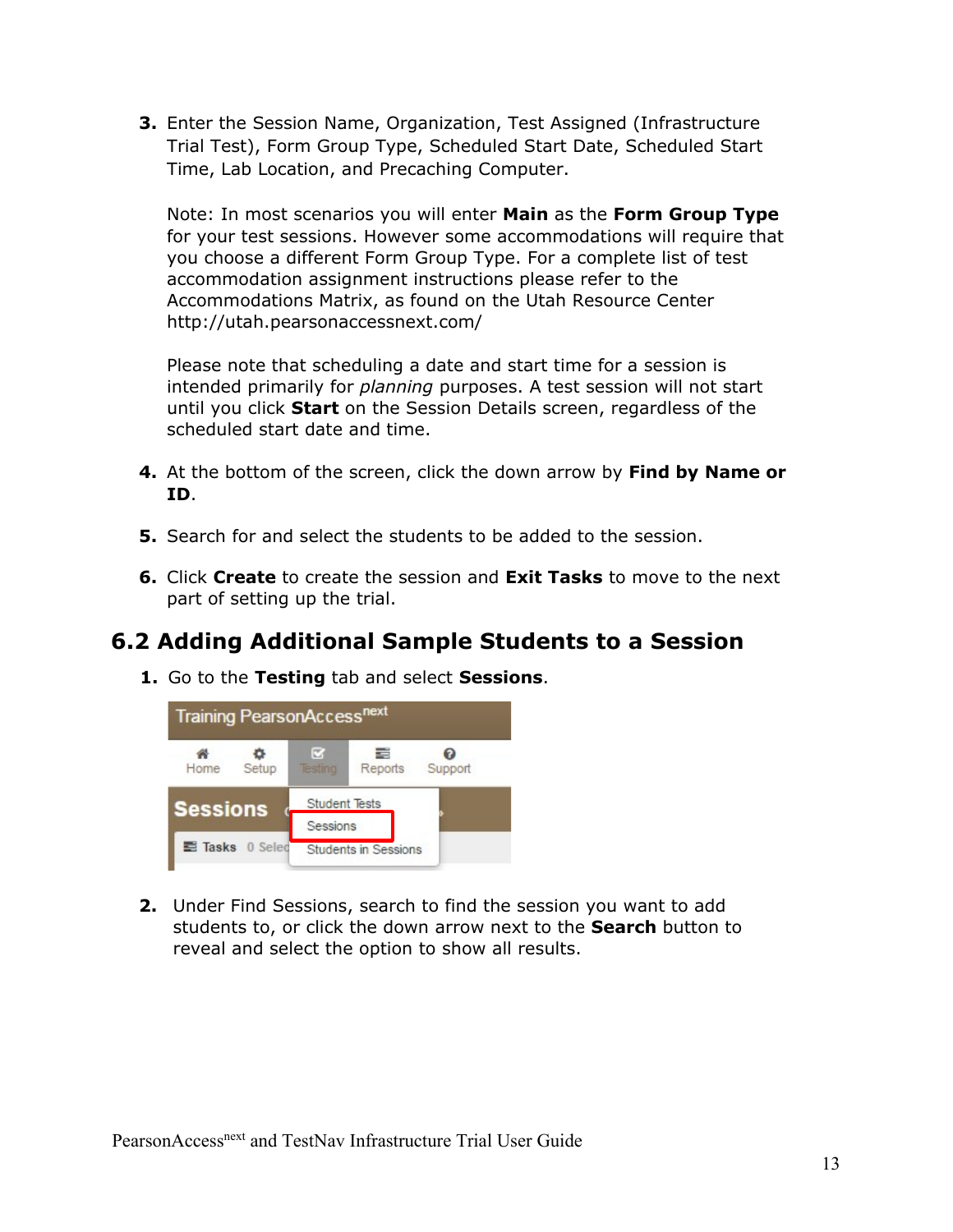**3.** Enter the Session Name, Organization, Test Assigned (Infrastructure Trial Test), Form Group Type, Scheduled Start Date, Scheduled Start Time, Lab Location, and Precaching Computer.

Note: In most scenarios you will enter **Main** as the **Form Group Type** for your test sessions. However some accommodations will require that you choose a different Form Group Type. For a complete list of test accommodation assignment instructions please refer to the Accommodations Matrix, as found on the Utah Resource Center http://utah.pearsonaccessnext.com/

Please note that scheduling a date and start time for a session is intended primarily for *planning* purposes. A test session will not start until you click **Start** on the Session Details screen, regardless of the scheduled start date and time.

- **4.** At the bottom of the screen, click the down arrow by **Find by Name or ID**.
- **5.** Search for and select the students to be added to the session.
- **6.** Click **Create** to create the session and **Exit Tasks** to move to the next part of setting up the trial.

# <span id="page-12-0"></span>**6.2 Adding Additional Sample Students to a Session**

**1.** Go to the **Testing** tab and select **Sessions**.



**2.** Under Find Sessions, search to find the session you want to add students to, or click the down arrow next to the **Search** button to reveal and select the option to show all results.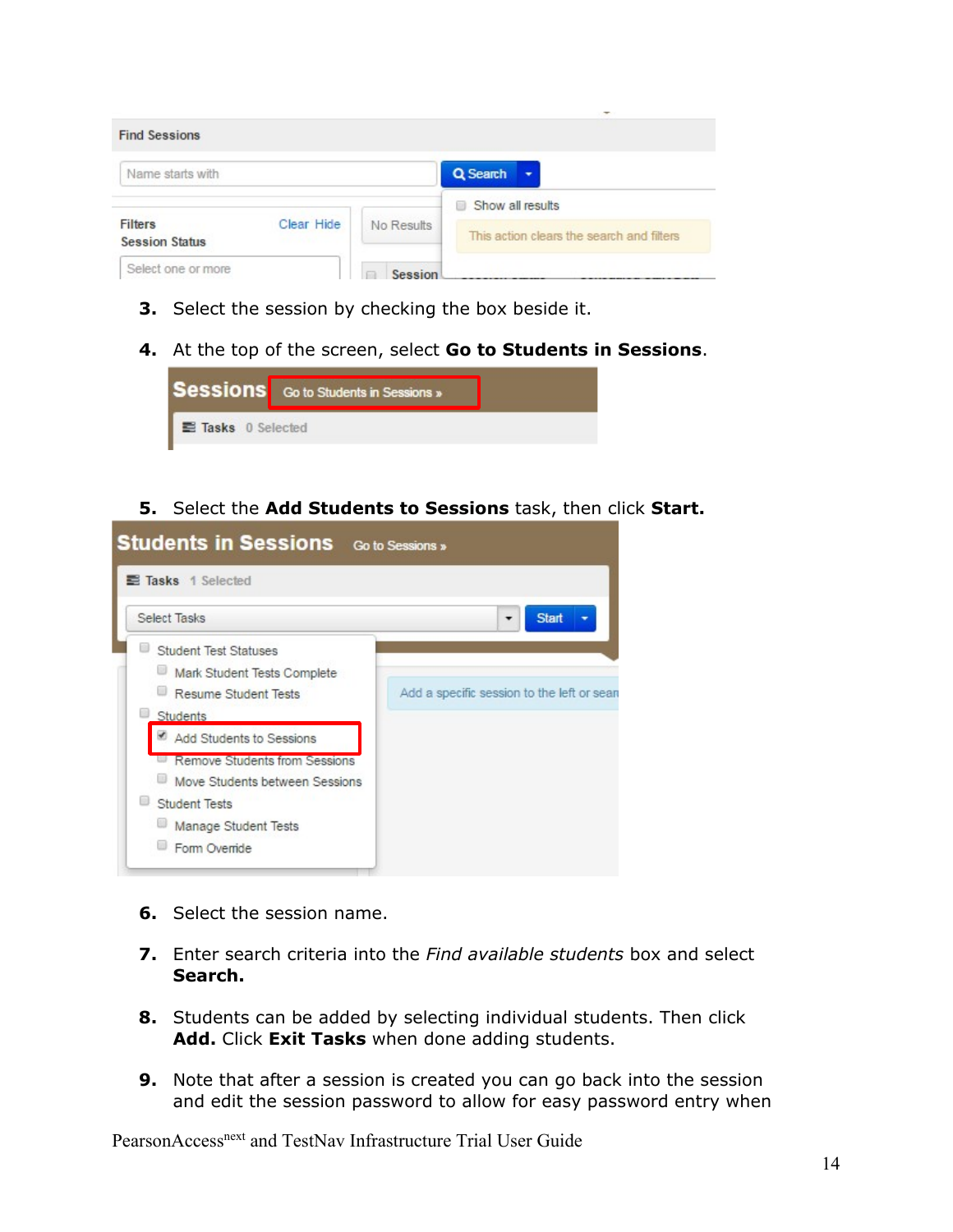|                                         |            |            | $\overline{\phantom{a}}$                  |
|-----------------------------------------|------------|------------|-------------------------------------------|
| <b>Find Sessions</b>                    |            |            |                                           |
| Name starts with                        |            |            | Q Search                                  |
|                                         |            |            | Show all results<br>o                     |
| <b>Filters</b><br><b>Session Status</b> | Clear Hide | No Results | This action clears the search and filters |
| Select one or more                      |            | Session    |                                           |

- **3.** Select the session by checking the box beside it.
- **4.** At the top of the screen, select **Go to Students in Sessions**.



**5.** Select the **Add Students to Sessions** task, then click **Start.** 

| <b>Students in Sessions</b> Go to Sessions »               |
|------------------------------------------------------------|
|                                                            |
| <b>Start</b><br>Add a specific session to the left or sean |
|                                                            |

- **6.** Select the session name.
- **7.** Enter search criteria into the *Find available students* box and select **Search.**
- **8.** Students can be added by selecting individual students. Then click **Add.** Click **Exit Tasks** when done adding students.
- **9.** Note that after a session is created you can go back into the session and edit the session password to allow for easy password entry when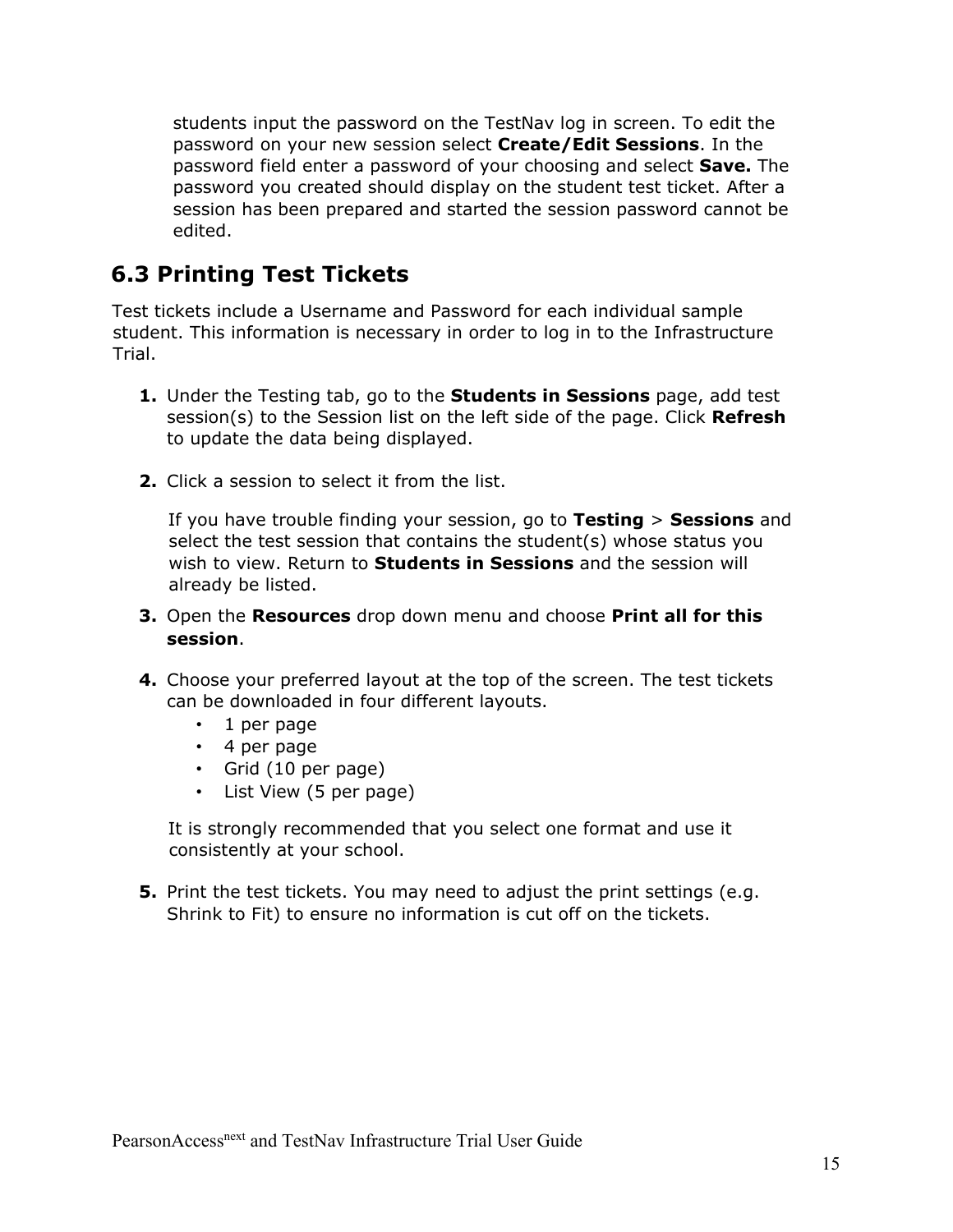students input the password on the TestNav log in screen. To edit the password on your new session select **Create/Edit Sessions**. In the password field enter a password of your choosing and select **Save.** The password you created should display on the student test ticket. After a session has been prepared and started the session password cannot be edited.

## <span id="page-14-0"></span>**6.3 Printing Test Tickets**

Test tickets include a Username and Password for each individual sample student. This information is necessary in order to log in to the Infrastructure Trial.

- **1.** Under the Testing tab, go to the **Students in Sessions** page, add test session(s) to the Session list on the left side of the page. Click **Refresh**  to update the data being displayed.
- **2.** Click a session to select it from the list.

If you have trouble finding your session, go to **Testing** > **Sessions** and select the test session that contains the student(s) whose status you wish to view. Return to **Students in Sessions** and the session will already be listed.

- **3.** Open the **Resources** drop down menu and choose **Print all for this session**.
- **4.** Choose your preferred layout at the top of the screen. The test tickets can be downloaded in four different layouts.
	- 1 per page
	- 4 per page
	- Grid (10 per page)
	- List View (5 per page)

It is strongly recommended that you select one format and use it consistently at your school.

**5.** Print the test tickets. You may need to adjust the print settings (e.g. Shrink to Fit) to ensure no information is cut off on the tickets.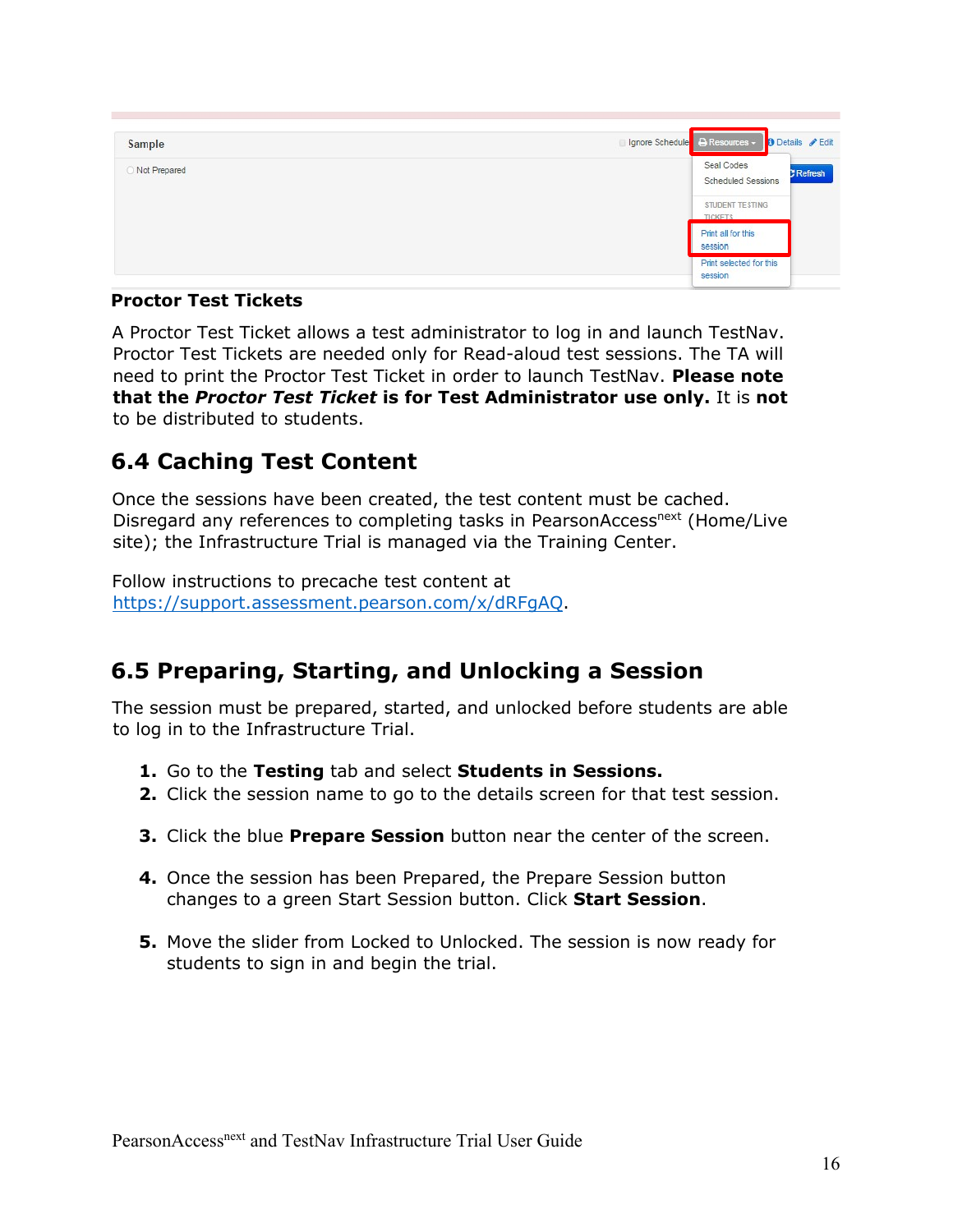| Sample       | □ Ignore Schedule   A Resources - <b>0</b> Details / Edit |
|--------------|-----------------------------------------------------------|
| Not Prepared | Seal Codes<br>Refresh<br>Scheduled Sessions               |
|              | STUDENT TESTING<br><b>TICKETS</b>                         |
|              | Print all for this<br>session                             |
|              | Print selected for this<br>session                        |

#### <span id="page-15-0"></span>**Proctor Test Tickets**

A Proctor Test Ticket allows a test administrator to log in and launch TestNav. Proctor Test Tickets are needed only for Read-aloud test sessions. The TA will need to print the Proctor Test Ticket in order to launch TestNav. **Please note that the** *Proctor Test Ticket* **is for Test Administrator use only.** It is **not** to be distributed to students.

## <span id="page-15-1"></span>**6.4 Caching Test Content**

Once the sessions have been created, the test content must be cached. Disregard any references to completing tasks in PearsonAccess<sup>next</sup> (Home/Live site); the Infrastructure Trial is managed via the Training Center.

Follow instructions to precache test content at [https://support.assessment.pearson.com/x/dRFgAQ.](https://support.assessment.pearson.com/x/dRFgAQ)

## <span id="page-15-2"></span>**6.5 Preparing, Starting, and Unlocking a Session**

The session must be prepared, started, and unlocked before students are able to log in to the Infrastructure Trial.

- **1.** Go to the **Testing** tab and select **Students in Sessions.**
- **2.** Click the session name to go to the details screen for that test session.
- **3.** Click the blue **Prepare Session** button near the center of the screen.
- **4.** Once the session has been Prepared, the Prepare Session button changes to a green Start Session button. Click **Start Session**.
- **5.** Move the slider from Locked to Unlocked. The session is now ready for students to sign in and begin the trial.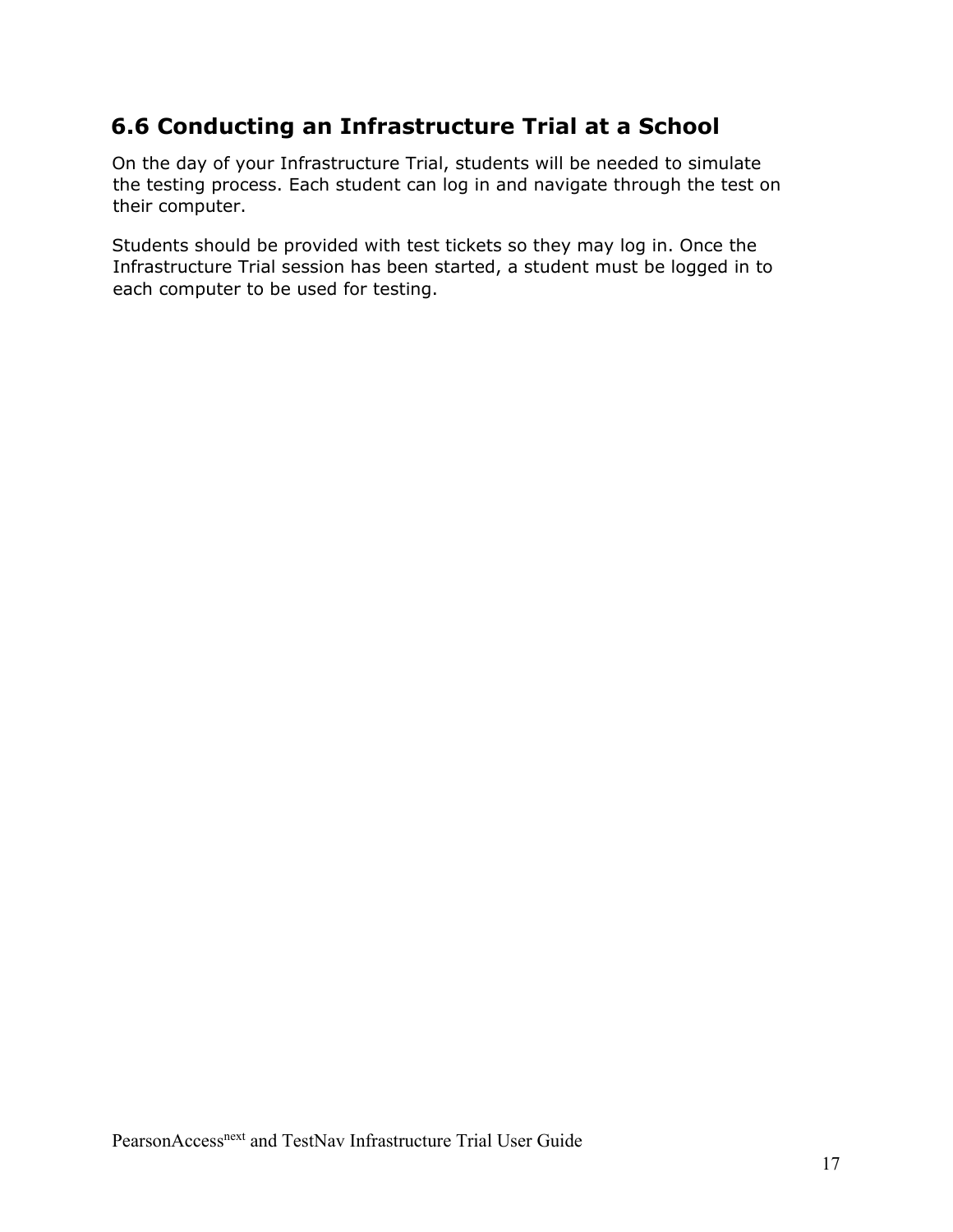## <span id="page-16-0"></span>**6.6 Conducting an Infrastructure Trial at a School**

On the day of your Infrastructure Trial, students will be needed to simulate the testing process. Each student can log in and navigate through the test on their computer.

Students should be provided with test tickets so they may log in. Once the Infrastructure Trial session has been started, a student must be logged in to each computer to be used for testing.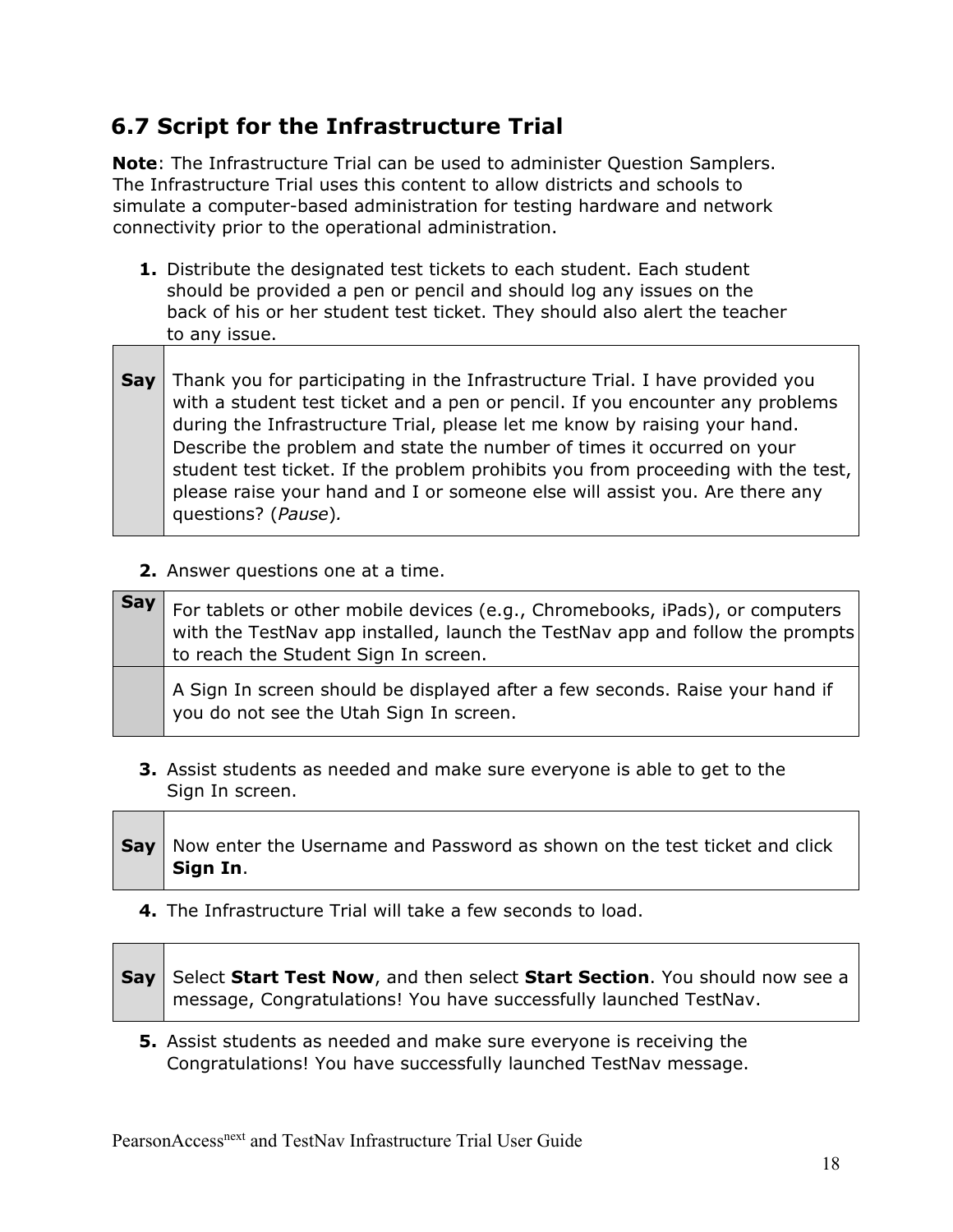# <span id="page-17-0"></span>**6.7 Script for the Infrastructure Trial**

**Note**: The Infrastructure Trial can be used to administer Question Samplers. The Infrastructure Trial uses this content to allow districts and schools to simulate a computer-based administration for testing hardware and network connectivity prior to the operational administration.

- **1.** Distribute the designated test tickets to each student. Each student should be provided a pen or pencil and should log any issues on the back of his or her student test ticket. They should also alert the teacher to any issue.
- **Say** Thank you for participating in the Infrastructure Trial. I have provided you with a student test ticket and a pen or pencil. If you encounter any problems during the Infrastructure Trial, please let me know by raising your hand. Describe the problem and state the number of times it occurred on your student test ticket. If the problem prohibits you from proceeding with the test, please raise your hand and I or someone else will assist you. Are there any questions? (*Pause*)*.*
	- **2.** Answer questions one at a time.

| Say I | For tablets or other mobile devices (e.g., Chromebooks, iPads), or computers<br>with the TestNav app installed, launch the TestNav app and follow the prompts<br>to reach the Student Sign In screen. |  |
|-------|-------------------------------------------------------------------------------------------------------------------------------------------------------------------------------------------------------|--|
|       | A Sign In screen should be displayed after a few seconds. Raise your hand if<br>you do not see the Utah Sign In screen.                                                                               |  |

- **3.** Assist students as needed and make sure everyone is able to get to the Sign In screen.
- **Say** | Now enter the Username and Password as shown on the test ticket and click **Sign In**.
	- **4.** The Infrastructure Trial will take a few seconds to load.

| Say   Select Start Test Now, and then select Start Section. You should now see a |
|----------------------------------------------------------------------------------|
| message, Congratulations! You have successfully launched TestNav.                |

**5.** Assist students as needed and make sure everyone is receiving the Congratulations! You have successfully launched TestNav message.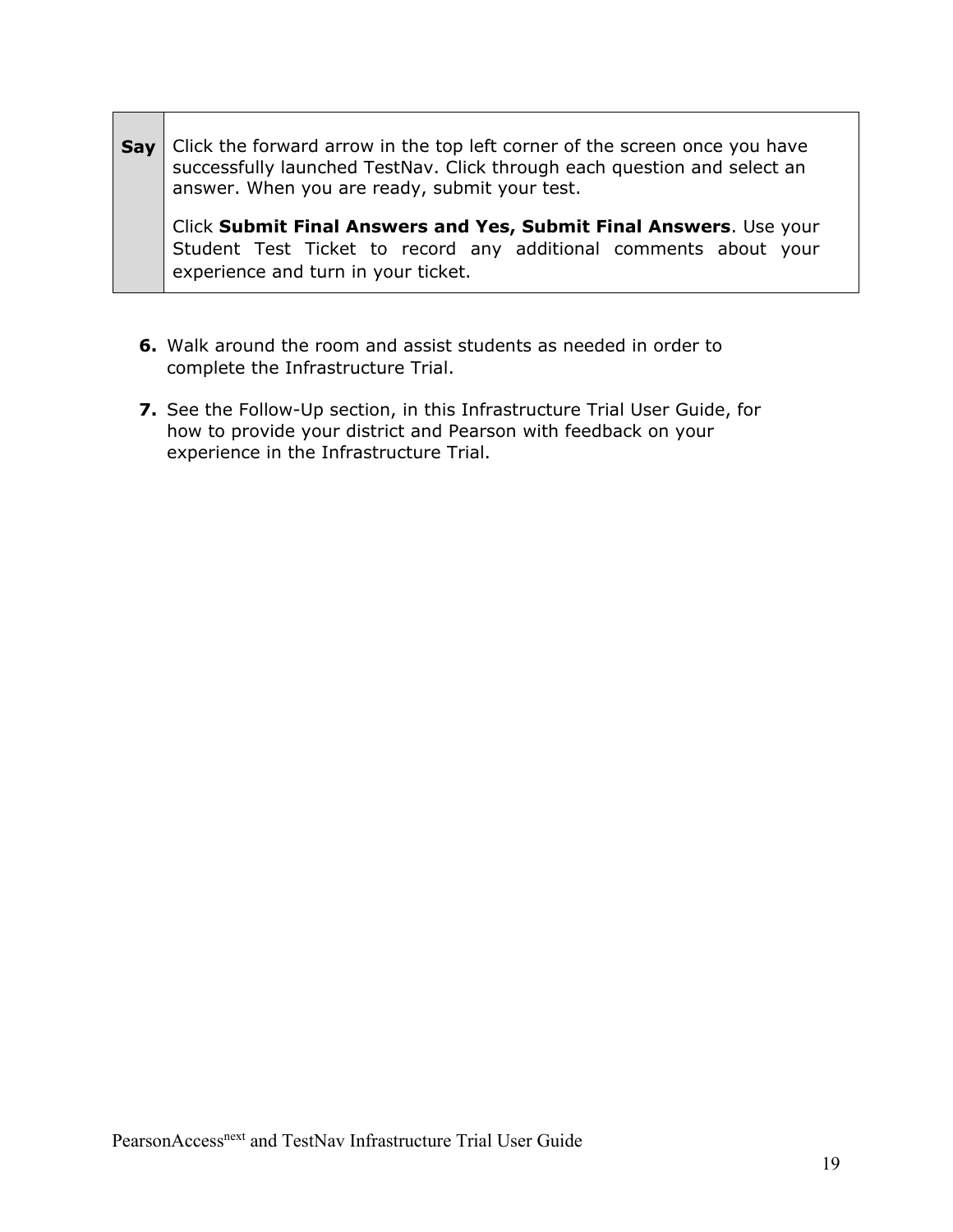**Say** Click the forward arrow in the top left corner of the screen once you have successfully launched TestNav. Click through each question and select an answer. When you are ready, submit your test.

Click **Submit Final Answers and Yes, Submit Final Answers**. Use your Student Test Ticket to record any additional comments about your experience and turn in your ticket.

- **6.** Walk around the room and assist students as needed in order to complete the Infrastructure Trial.
- **7.** See the Follow-Up section, in this Infrastructure Trial User Guide, for how to provide your district and Pearson with feedback on your experience in the Infrastructure Trial.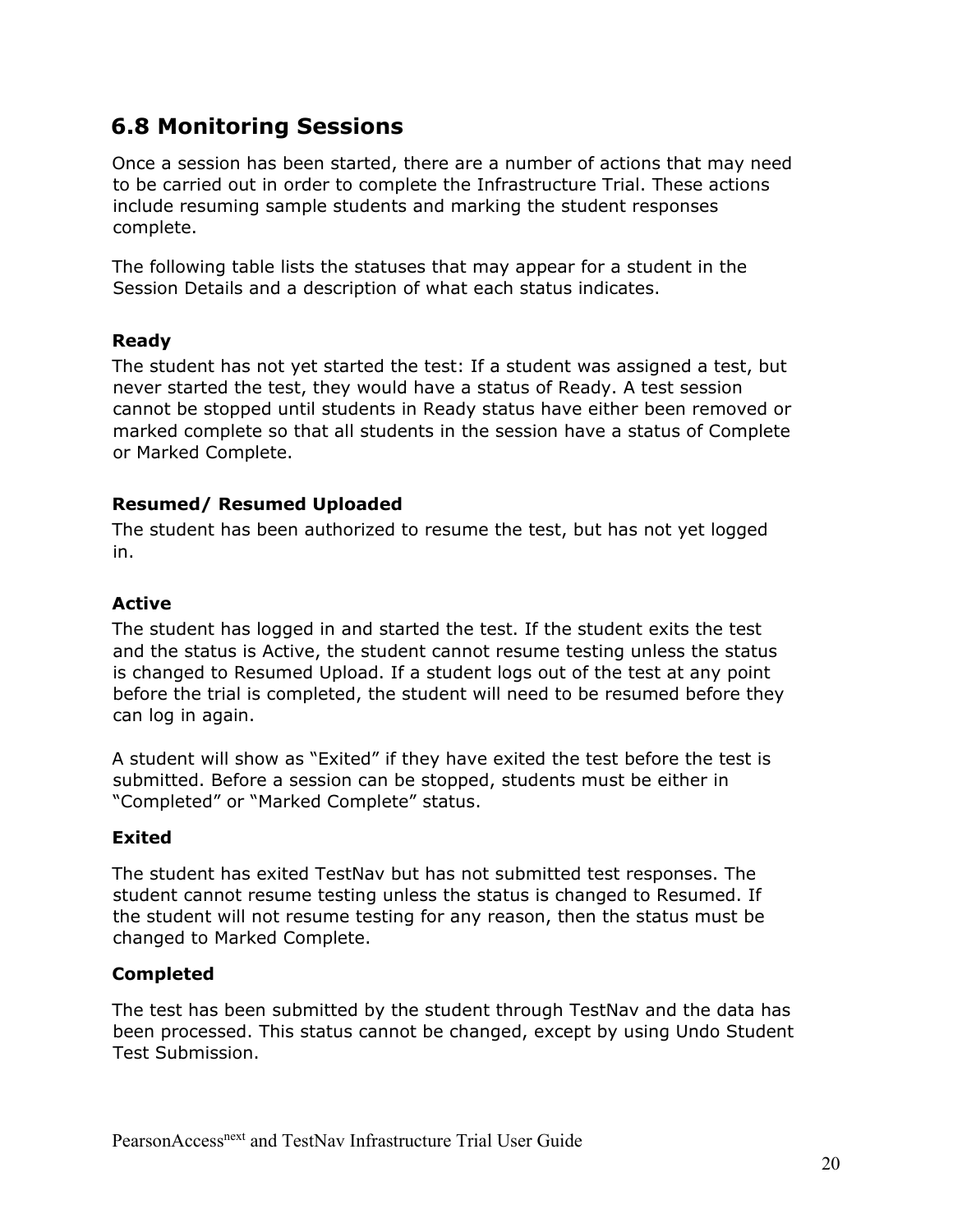## <span id="page-19-0"></span>**6.8 Monitoring Sessions**

Once a session has been started, there are a number of actions that may need to be carried out in order to complete the Infrastructure Trial. These actions include resuming sample students and marking the student responses complete.

The following table lists the statuses that may appear for a student in the Session Details and a description of what each status indicates.

#### **Ready**

The student has not yet started the test: If a student was assigned a test, but never started the test, they would have a status of Ready. A test session cannot be stopped until students in Ready status have either been removed or marked complete so that all students in the session have a status of Complete or Marked Complete.

#### **Resumed/ Resumed Uploaded**

The student has been authorized to resume the test, but has not yet logged in.

#### **Active**

The student has logged in and started the test. If the student exits the test and the status is Active, the student cannot resume testing unless the status is changed to Resumed Upload. If a student logs out of the test at any point before the trial is completed, the student will need to be resumed before they can log in again.

A student will show as "Exited" if they have exited the test before the test is submitted. Before a session can be stopped, students must be either in "Completed" or "Marked Complete" status.

#### **Exited**

The student has exited TestNav but has not submitted test responses. The student cannot resume testing unless the status is changed to Resumed. If the student will not resume testing for any reason, then the status must be changed to Marked Complete.

#### **Completed**

The test has been submitted by the student through TestNav and the data has been processed. This status cannot be changed, except by using Undo Student Test Submission.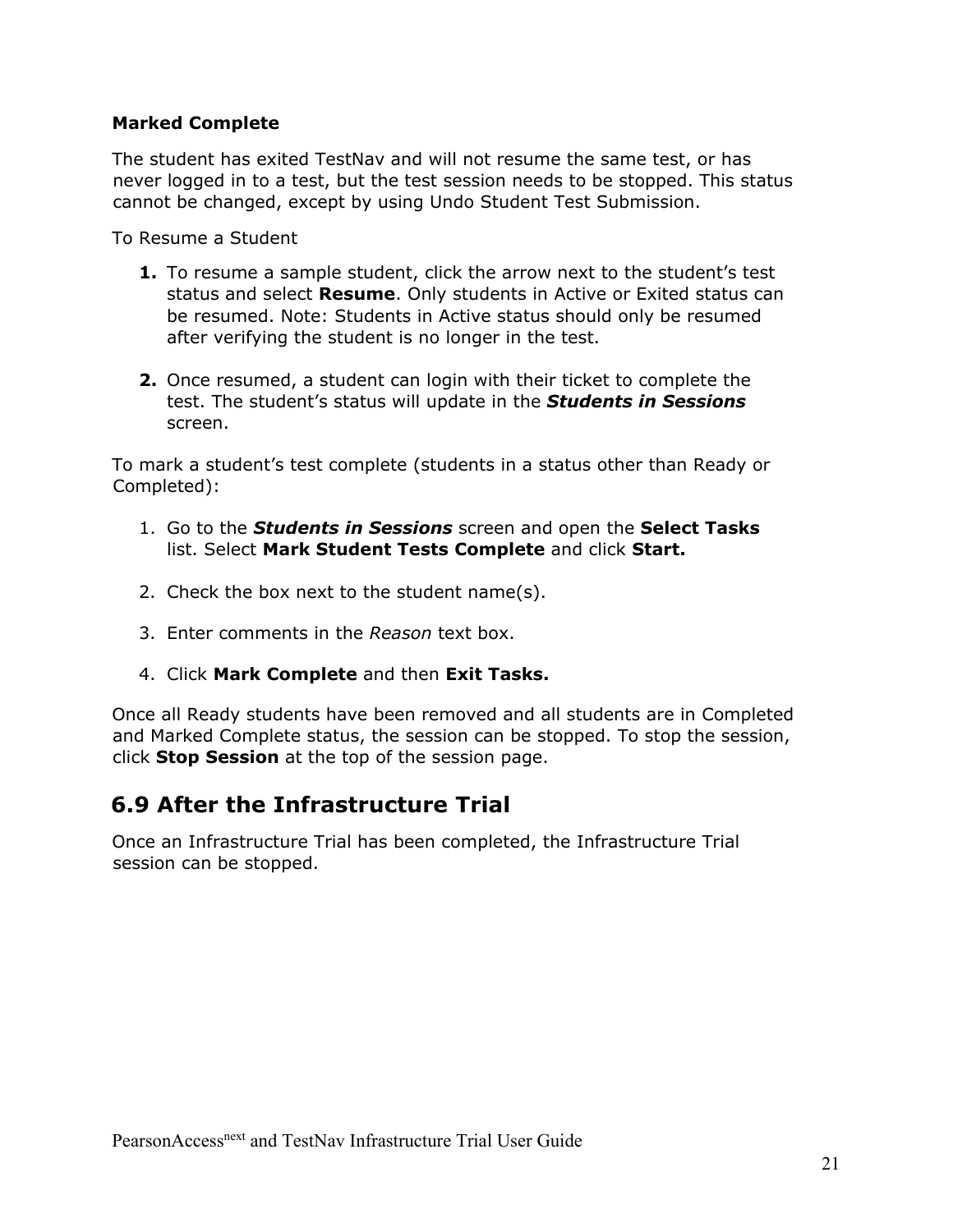#### **Marked Complete**

The student has exited TestNav and will not resume the same test, or has never logged in to a test, but the test session needs to be stopped. This status cannot be changed, except by using Undo Student Test Submission.

To Resume a Student

- **1.** To resume a sample student, click the arrow next to the student's test status and select **Resume**. Only students in Active or Exited status can be resumed. Note: Students in Active status should only be resumed after verifying the student is no longer in the test.
- **2.** Once resumed, a student can login with their ticket to complete the test. The student's status will update in the *Students in Sessions* screen.

To mark a student's test complete (students in a status other than Ready or Completed):

- 1. Go to the *Students in Sessions* screen and open the **Select Tasks**  list. Select **Mark Student Tests Complete** and click **Start.**
- 2. Check the box next to the student name(s).
- 3. Enter comments in the *Reason* text box.
- 4. Click **Mark Complete** and then **Exit Tasks.**

Once all Ready students have been removed and all students are in Completed and Marked Complete status, the session can be stopped. To stop the session, click **Stop Session** at the top of the session page.

## <span id="page-20-0"></span>**6.9 After the Infrastructure Trial**

Once an Infrastructure Trial has been completed, the Infrastructure Trial session can be stopped.